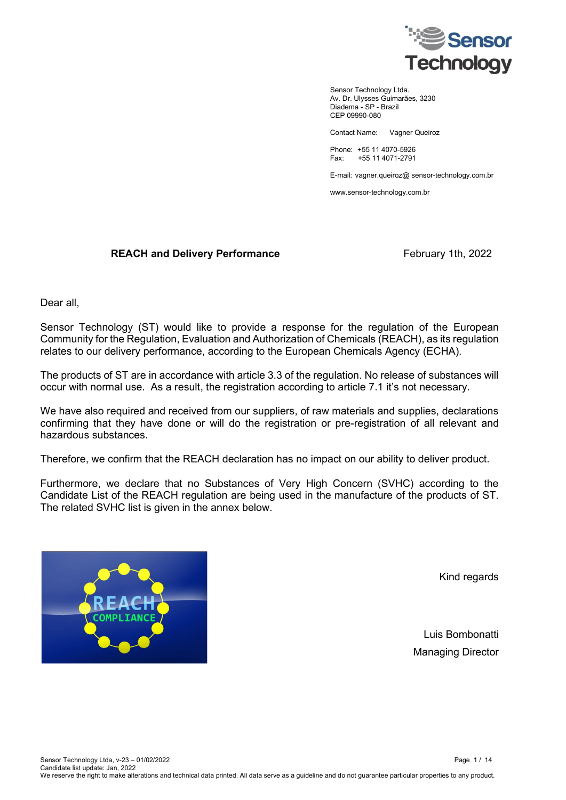

Sensor Technology Ltda. Av. Dr. Ulysses Guimarães, 3230 Diadema - SP - Brazil CEP 09990-080

Contact Name: Vagner Queiroz

Phone: +55 11 4070-5926 Fax: +55 11 4071-2791

E-mail: vagner.queiroz@ sensor-technology.com.br

www.sensor-technology.com.br

## **REACH and Delivery Performance** February 1th, 2022

Dear all,

Sensor Technology (ST) would like to provide a response for the regulation of the European Community for the Regulation, Evaluation and Authorization of Chemicals (REACH), as its regulation relates to our delivery performance, according to the European Chemicals Agency (ECHA).

The products of ST are in accordance with article 3.3 of the regulation. No release of substances will occur with normal use. As a result, the registration according to article 7.1 it's not necessary.

We have also required and received from our suppliers, of raw materials and supplies, declarations confirming that they have done or will do the registration or pre-registration of all relevant and hazardous substances.

Therefore, we confirm that the REACH declaration has no impact on our ability to deliver product.

Furthermore, we declare that no Substances of Very High Concern (SVHC) according to the Candidate List of the REACH regulation are being used in the manufacture of the products of ST. The related SVHC list is given in the annex below.



Kind regards

Luis Bombonatti Managing Director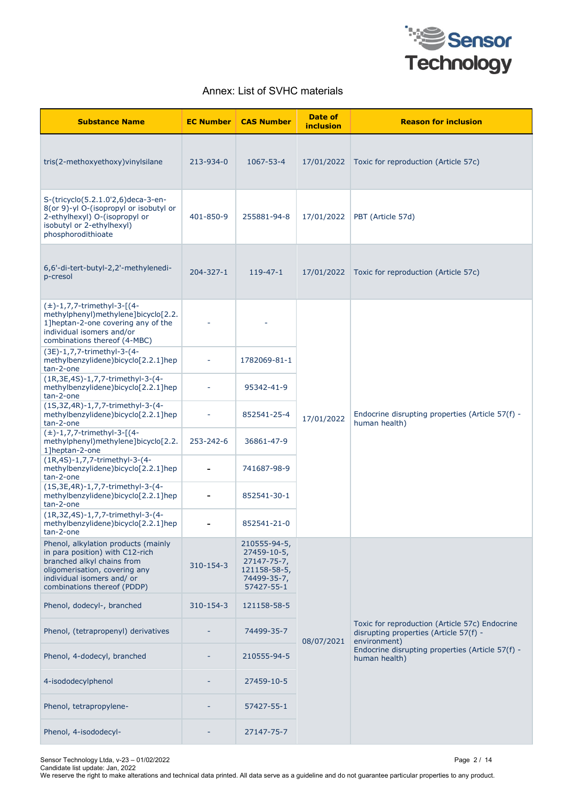

## Annex: List of SVHC materials

| <b>Substance Name</b>                                                                                                                                                                              | <b>EC Number</b> | <b>CAS Number</b>                                                                       | Date of<br><i>inclusion</i> | <b>Reason for inclusion</b>                                                                              |
|----------------------------------------------------------------------------------------------------------------------------------------------------------------------------------------------------|------------------|-----------------------------------------------------------------------------------------|-----------------------------|----------------------------------------------------------------------------------------------------------|
| tris(2-methoxyethoxy) vinylsilane                                                                                                                                                                  | 213-934-0        | 1067-53-4                                                                               | 17/01/2022                  | Toxic for reproduction (Article 57c)                                                                     |
| S-(tricyclo(5.2.1.0'2,6)deca-3-en-<br>8(or 9)-yl O-(isopropyl or isobutyl or<br>2-ethylhexyl) O-(isopropyl or<br>isobutyl or 2-ethylhexyl)<br>phosphorodithioate                                   | 401-850-9        | 255881-94-8                                                                             | 17/01/2022                  | PBT (Article 57d)                                                                                        |
| 6,6'-di-tert-butyl-2,2'-methylenedi-<br>p-cresol                                                                                                                                                   | $204 - 327 - 1$  | $119 - 47 - 1$                                                                          | 17/01/2022                  | Toxic for reproduction (Article 57c)                                                                     |
| $(\pm)$ -1,7,7-trimethyl-3-[(4-<br>methylphenyl)methylene]bicyclo[2.2.<br>1] heptan-2-one covering any of the<br>individual isomers and/or<br>combinations thereof (4-MBC)                         |                  |                                                                                         |                             |                                                                                                          |
| (3E)-1,7,7-trimethyl-3-(4-<br>methylbenzylidene)bicyclo[2.2.1]hep<br>tan-2-one                                                                                                                     |                  | 1782069-81-1                                                                            |                             | Endocrine disrupting properties (Article 57(f) -<br>human health)                                        |
| (1R, 3E, 4S) - 1, 7, 7-trimethyl-3-(4-<br>methylbenzylidene)bicyclo[2.2.1]hep<br>tan-2-one                                                                                                         |                  | 95342-41-9                                                                              |                             |                                                                                                          |
| (1S, 3Z, 4R) - 1, 7, 7-trimethyl-3-(4-<br>methylbenzylidene)bicyclo[2.2.1]hep<br>tan-2-one                                                                                                         |                  | 852541-25-4                                                                             | 17/01/2022                  |                                                                                                          |
| $(\pm)$ -1,7,7-trimethyl-3-[(4-<br>methylphenyl)methylene]bicyclo[2.2.<br>1]heptan-2-one                                                                                                           | 253-242-6        | 36861-47-9                                                                              |                             |                                                                                                          |
| (1R,4S)-1,7,7-trimethyl-3-(4-<br>methylbenzylidene)bicyclo[2.2.1]hep<br>tan-2-one                                                                                                                  |                  | 741687-98-9                                                                             |                             |                                                                                                          |
| (1S, 3E, 4R) - 1, 7, 7-trimethyl-3-(4-<br>methylbenzylidene)bicyclo[2.2.1]hep<br>tan-2-one                                                                                                         |                  | 852541-30-1                                                                             |                             |                                                                                                          |
| (1R, 3Z, 4S) - 1, 7, 7-trimethyl-3-(4-<br>methylbenzylidene)bicyclo[2.2.1]hep<br>tan-2-one                                                                                                         |                  | 852541-21-0                                                                             |                             |                                                                                                          |
| Phenol, alkylation products (mainly<br>in para position) with C12-rich<br>branched alkyl chains from<br>oligomerisation, covering any<br>individual isomers and/ or<br>combinations thereof (PDDP) | 310-154-3        | 210555-94-5,<br>27459-10-5,<br>27147-75-7,<br>121158-58-5,<br>74499-35-7,<br>57427-55-1 |                             |                                                                                                          |
| Phenol, dodecyl-, branched                                                                                                                                                                         | 310-154-3        | 121158-58-5                                                                             |                             |                                                                                                          |
| Phenol, (tetrapropenyl) derivatives                                                                                                                                                                |                  | 74499-35-7                                                                              | 08/07/2021                  | Toxic for reproduction (Article 57c) Endocrine<br>disrupting properties (Article 57(f) -<br>environment) |
| Phenol, 4-dodecyl, branched                                                                                                                                                                        |                  | 210555-94-5                                                                             |                             | Endocrine disrupting properties (Article 57(f) -<br>human health)                                        |
| 4-isododecylphenol                                                                                                                                                                                 |                  | 27459-10-5                                                                              |                             |                                                                                                          |
| Phenol, tetrapropylene-                                                                                                                                                                            |                  | 57427-55-1                                                                              |                             |                                                                                                          |
| Phenol, 4-isododecyl-                                                                                                                                                                              |                  | 27147-75-7                                                                              |                             |                                                                                                          |

Sensor Technology Ltda, v-23 – 01/02/2022 Page 2 / 14 Candidate list update: Jan, 2022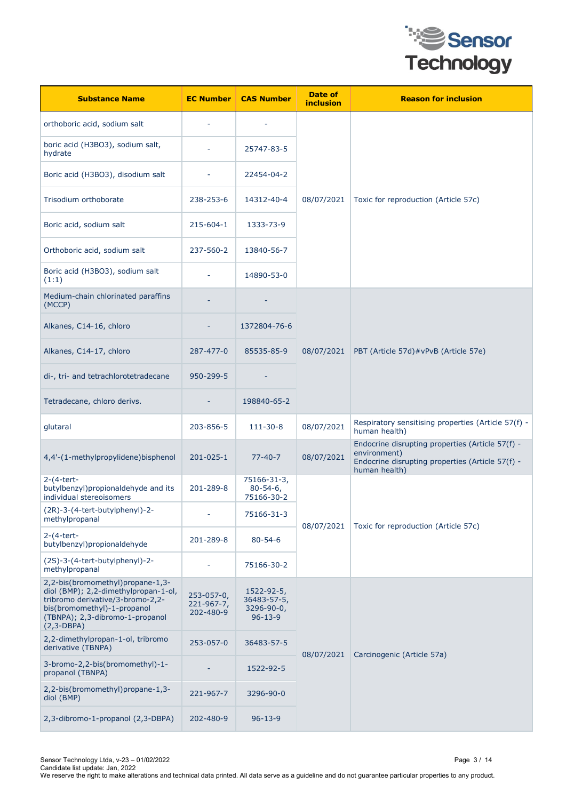

| <b>Substance Name</b>                                                                                                                                                                          | <b>EC Number</b>                            | <b>CAS Number</b>                                        | Date of<br>inclusion | <b>Reason for inclusion</b>                                                                                                           |
|------------------------------------------------------------------------------------------------------------------------------------------------------------------------------------------------|---------------------------------------------|----------------------------------------------------------|----------------------|---------------------------------------------------------------------------------------------------------------------------------------|
| orthoboric acid, sodium salt                                                                                                                                                                   |                                             |                                                          |                      |                                                                                                                                       |
| boric acid (H3BO3), sodium salt,<br>hydrate                                                                                                                                                    |                                             | 25747-83-5                                               |                      |                                                                                                                                       |
| Boric acid (H3BO3), disodium salt                                                                                                                                                              |                                             | 22454-04-2                                               |                      |                                                                                                                                       |
| Trisodium orthoborate                                                                                                                                                                          | 238-253-6                                   | 14312-40-4                                               | 08/07/2021           | Toxic for reproduction (Article 57c)                                                                                                  |
| Boric acid, sodium salt                                                                                                                                                                        | 215-604-1                                   | 1333-73-9                                                |                      |                                                                                                                                       |
| Orthoboric acid, sodium salt                                                                                                                                                                   | 237-560-2                                   | 13840-56-7                                               |                      |                                                                                                                                       |
| Boric acid (H3BO3), sodium salt<br>(1:1)                                                                                                                                                       |                                             | 14890-53-0                                               |                      |                                                                                                                                       |
| Medium-chain chlorinated paraffins<br>(MCCP)                                                                                                                                                   |                                             |                                                          |                      |                                                                                                                                       |
| Alkanes, C14-16, chloro                                                                                                                                                                        |                                             | 1372804-76-6                                             |                      |                                                                                                                                       |
| Alkanes, C14-17, chloro                                                                                                                                                                        | 287-477-0                                   | 85535-85-9                                               | 08/07/2021           | PBT (Article 57d)#vPvB (Article 57e)                                                                                                  |
| di-, tri- and tetrachlorotetradecane                                                                                                                                                           | 950-299-5                                   |                                                          |                      |                                                                                                                                       |
| Tetradecane, chloro derivs.                                                                                                                                                                    |                                             | 198840-65-2                                              |                      |                                                                                                                                       |
| glutaral                                                                                                                                                                                       | 203-856-5                                   | 111-30-8                                                 | 08/07/2021           | Respiratory sensitising properties (Article 57(f) -<br>human health)                                                                  |
| 4,4'-(1-methylpropylidene)bisphenol                                                                                                                                                            | $201 - 025 - 1$                             | $77 - 40 - 7$                                            | 08/07/2021           | Endocrine disrupting properties (Article 57(f) -<br>environment)<br>Endocrine disrupting properties (Article 57(f) -<br>human health) |
| $2-(4-tert-$<br>butylbenzyl) propional dehy de and its<br>individual stereoisomers                                                                                                             | 201-289-8                                   | 75166-31-3,<br>$80 - 54 - 6$<br>75166-30-2               |                      |                                                                                                                                       |
| (2R)-3-(4-tert-butylphenyl)-2-<br>methylpropanal                                                                                                                                               |                                             | 75166-31-3                                               |                      | Toxic for reproduction (Article 57c)                                                                                                  |
| $2-(4-tert-$<br>butylbenzyl)propionaldehyde                                                                                                                                                    | 201-289-8                                   | $80 - 54 - 6$                                            | 08/07/2021           |                                                                                                                                       |
| (2S)-3-(4-tert-butylphenyl)-2-<br>methylpropanal                                                                                                                                               |                                             | 75166-30-2                                               |                      |                                                                                                                                       |
| 2,2-bis(bromomethyl)propane-1,3-<br>diol (BMP); 2,2-dimethylpropan-1-ol,<br>tribromo derivative/3-bromo-2,2-<br>bis(bromomethyl)-1-propanol<br>(TBNPA); 2,3-dibromo-1-propanol<br>$(2,3-DBPA)$ | $253 - 057 - 0,$<br>221-967-7,<br>202-480-9 | 1522-92-5,<br>36483-57-5,<br>3296-90-0,<br>$96 - 13 - 9$ |                      |                                                                                                                                       |
| 2,2-dimethylpropan-1-ol, tribromo<br>derivative (TBNPA)                                                                                                                                        | 253-057-0                                   | 36483-57-5                                               | 08/07/2021           | Carcinogenic (Article 57a)                                                                                                            |
| 3-bromo-2,2-bis(bromomethyl)-1-<br>propanol (TBNPA)                                                                                                                                            |                                             | 1522-92-5                                                |                      |                                                                                                                                       |
| 2,2-bis(bromomethyl)propane-1,3-<br>diol (BMP)                                                                                                                                                 | 221-967-7                                   | 3296-90-0                                                |                      |                                                                                                                                       |
| 2,3-dibromo-1-propanol (2,3-DBPA)                                                                                                                                                              | 202-480-9                                   | $96 - 13 - 9$                                            |                      |                                                                                                                                       |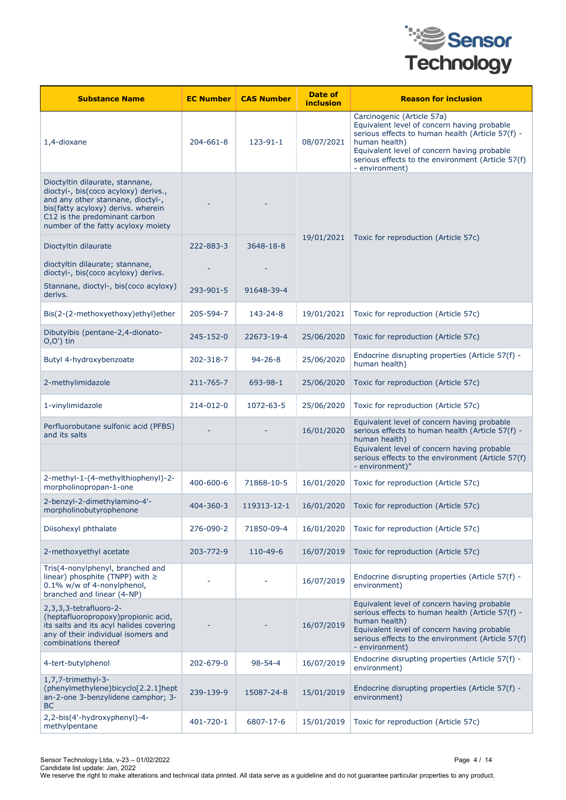

| <b>Substance Name</b>                                                                                                                                                                                                     | <b>EC Number</b> | <b>CAS Number</b> | Date of<br><i>inclusion</i> | <b>Reason for inclusion</b>                                                                                                                                                                                                                                          |
|---------------------------------------------------------------------------------------------------------------------------------------------------------------------------------------------------------------------------|------------------|-------------------|-----------------------------|----------------------------------------------------------------------------------------------------------------------------------------------------------------------------------------------------------------------------------------------------------------------|
| 1,4-dioxane                                                                                                                                                                                                               | $204 - 661 - 8$  | $123 - 91 - 1$    | 08/07/2021                  | Carcinogenic (Article 57a)<br>Equivalent level of concern having probable<br>serious effects to human health (Article 57(f) -<br>human health)<br>Equivalent level of concern having probable<br>serious effects to the environment (Article 57(f)<br>- environment) |
| Dioctyltin dilaurate, stannane,<br>dioctyl-, bis(coco acyloxy) derivs.,<br>and any other stannane, dioctyl-,<br>bis(fatty acyloxy) derivs. wherein<br>C12 is the predominant carbon<br>number of the fatty acyloxy moiety |                  |                   |                             |                                                                                                                                                                                                                                                                      |
| Dioctyltin dilaurate                                                                                                                                                                                                      | 222-883-3        | 3648-18-8         | 19/01/2021                  | Toxic for reproduction (Article 57c)                                                                                                                                                                                                                                 |
| dioctyltin dilaurate; stannane,<br>dioctyl-, bis(coco acyloxy) derivs.                                                                                                                                                    |                  |                   |                             |                                                                                                                                                                                                                                                                      |
| Stannane, dioctyl-, bis(coco acyloxy)<br>derivs.                                                                                                                                                                          | 293-901-5        | 91648-39-4        |                             |                                                                                                                                                                                                                                                                      |
| Bis(2-(2-methoxyethoxy)ethyl)ether                                                                                                                                                                                        | 205-594-7        | 143-24-8          | 19/01/2021                  | Toxic for reproduction (Article 57c)                                                                                                                                                                                                                                 |
| Dibutylbis (pentane-2,4-dionato-<br>$O,O')$ tin                                                                                                                                                                           | 245-152-0        | 22673-19-4        | 25/06/2020                  | Toxic for reproduction (Article 57c)                                                                                                                                                                                                                                 |
| Butyl 4-hydroxybenzoate                                                                                                                                                                                                   | 202-318-7        | $94 - 26 - 8$     | 25/06/2020                  | Endocrine disrupting properties (Article 57(f) -<br>human health)                                                                                                                                                                                                    |
| 2-methylimidazole                                                                                                                                                                                                         | 211-765-7        | 693-98-1          | 25/06/2020                  | Toxic for reproduction (Article 57c)                                                                                                                                                                                                                                 |
| 1-vinylimidazole                                                                                                                                                                                                          | 214-012-0        | 1072-63-5         | 25/06/2020                  | Toxic for reproduction (Article 57c)                                                                                                                                                                                                                                 |
| Perfluorobutane sulfonic acid (PFBS)<br>and its salts                                                                                                                                                                     |                  |                   | 16/01/2020                  | Equivalent level of concern having probable<br>serious effects to human health (Article 57(f) -<br>human health)                                                                                                                                                     |
|                                                                                                                                                                                                                           |                  |                   |                             | Equivalent level of concern having probable<br>serious effects to the environment (Article 57(f)<br>- environment)"                                                                                                                                                  |
| 2-methyl-1-(4-methylthiophenyl)-2-<br>morpholinopropan-1-one                                                                                                                                                              | 400-600-6        | 71868-10-5        | 16/01/2020                  | Toxic for reproduction (Article 57c)                                                                                                                                                                                                                                 |
| 2-benzyl-2-dimethylamino-4'-<br>morpholinobutyrophenone                                                                                                                                                                   | 404-360-3        | 119313-12-1       | 16/01/2020                  | Toxic for reproduction (Article 57c)                                                                                                                                                                                                                                 |
| Diisohexyl phthalate                                                                                                                                                                                                      | 276-090-2        | 71850-09-4        | 16/01/2020                  | Toxic for reproduction (Article 57c)                                                                                                                                                                                                                                 |
| 2-methoxyethyl acetate                                                                                                                                                                                                    | 203-772-9        | 110-49-6          | 16/07/2019                  | Toxic for reproduction (Article 57c)                                                                                                                                                                                                                                 |
| Tris(4-nonylphenyl, branched and<br>linear) phosphite (TNPP) with $\geq$<br>0.1% w/w of 4-nonylphenol,<br>branched and linear (4-NP)                                                                                      |                  |                   | 16/07/2019                  | Endocrine disrupting properties (Article 57(f) -<br>environment)                                                                                                                                                                                                     |
| 2,3,3,3-tetrafluoro-2-<br>(heptafluoropropoxy)propionic acid,<br>its salts and its acyl halides covering<br>any of their individual isomers and<br>combinations thereof                                                   |                  |                   | 16/07/2019                  | Equivalent level of concern having probable<br>serious effects to human health (Article 57(f) -<br>human health)<br>Equivalent level of concern having probable<br>serious effects to the environment (Article 57(f)<br>- environment)                               |
| 4-tert-butylphenol                                                                                                                                                                                                        | 202-679-0        | $98 - 54 - 4$     | 16/07/2019                  | Endocrine disrupting properties (Article 57(f) -<br>environment)                                                                                                                                                                                                     |
| 1,7,7-trimethyl-3-<br>(phenylmethylene)bicyclo[2.2.1]hept<br>an-2-one 3-benzylidene camphor; 3-<br><b>BC</b>                                                                                                              | 239-139-9        | 15087-24-8        | 15/01/2019                  | Endocrine disrupting properties (Article 57(f) -<br>environment)                                                                                                                                                                                                     |
| 2,2-bis(4'-hydroxyphenyl)-4-<br>methylpentane                                                                                                                                                                             | 401-720-1        | 6807-17-6         | 15/01/2019                  | Toxic for reproduction (Article 57c)                                                                                                                                                                                                                                 |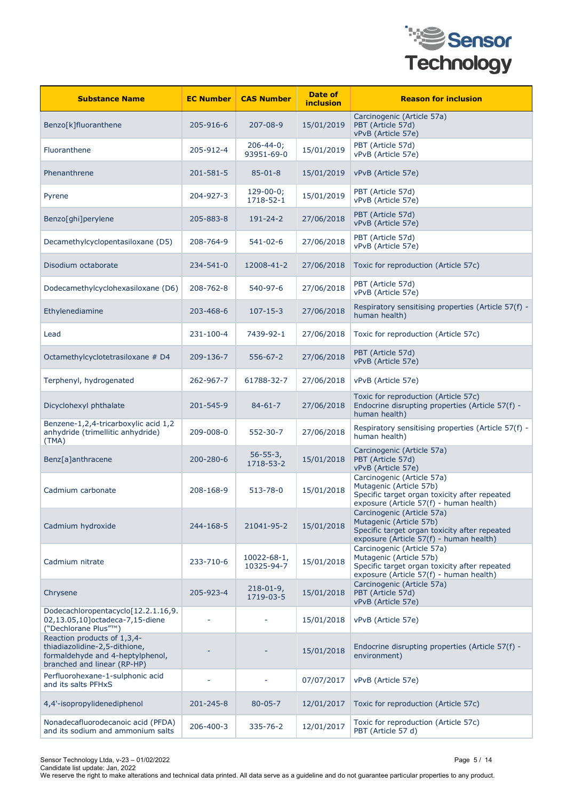

| <b>Substance Name</b>                                                                                                           | <b>EC Number</b> | <b>CAS Number</b>             | Date of<br><i>inclusion</i> | <b>Reason for inclusion</b>                                                                                                                       |
|---------------------------------------------------------------------------------------------------------------------------------|------------------|-------------------------------|-----------------------------|---------------------------------------------------------------------------------------------------------------------------------------------------|
| Benzo[k]fluoranthene                                                                                                            | 205-916-6        | $207 - 08 - 9$                | 15/01/2019                  | Carcinogenic (Article 57a)<br>PBT (Article 57d)<br>vPvB (Article 57e)                                                                             |
| Fluoranthene                                                                                                                    | 205-912-4        | $206 - 44 - 0;$<br>93951-69-0 | 15/01/2019                  | PBT (Article 57d)<br>vPvB (Article 57e)                                                                                                           |
| Phenanthrene                                                                                                                    | 201-581-5        | $85 - 01 - 8$                 | 15/01/2019                  | vPvB (Article 57e)                                                                                                                                |
| Pyrene                                                                                                                          | 204-927-3        | $129-00-0;$<br>1718-52-1      | 15/01/2019                  | PBT (Article 57d)<br>vPvB (Article 57e)                                                                                                           |
| Benzo[ghi]perylene                                                                                                              | 205-883-8        | 191-24-2                      | 27/06/2018                  | PBT (Article 57d)<br>vPvB (Article 57e)                                                                                                           |
| Decamethylcyclopentasiloxane (D5)                                                                                               | 208-764-9        | $541 - 02 - 6$                | 27/06/2018                  | PBT (Article 57d)<br>vPvB (Article 57e)                                                                                                           |
| Disodium octaborate                                                                                                             | 234-541-0        | 12008-41-2                    | 27/06/2018                  | Toxic for reproduction (Article 57c)                                                                                                              |
| Dodecamethylcyclohexasiloxane (D6)                                                                                              | 208-762-8        | 540-97-6                      | 27/06/2018                  | PBT (Article 57d)<br>vPvB (Article 57e)                                                                                                           |
| Ethylenediamine                                                                                                                 | 203-468-6        | $107 - 15 - 3$                | 27/06/2018                  | Respiratory sensitising properties (Article 57(f) -<br>human health)                                                                              |
| Lead                                                                                                                            | 231-100-4        | 7439-92-1                     | 27/06/2018                  | Toxic for reproduction (Article 57c)                                                                                                              |
| Octamethylcyclotetrasiloxane # D4                                                                                               | 209-136-7        | $556 - 67 - 2$                | 27/06/2018                  | PBT (Article 57d)<br>vPvB (Article 57e)                                                                                                           |
| Terphenyl, hydrogenated                                                                                                         | 262-967-7        | 61788-32-7                    | 27/06/2018                  | vPvB (Article 57e)                                                                                                                                |
| Dicyclohexyl phthalate                                                                                                          | 201-545-9        | $84 - 61 - 7$                 | 27/06/2018                  | Toxic for reproduction (Article 57c)<br>Endocrine disrupting properties (Article 57(f) -<br>human health)                                         |
| Benzene-1,2,4-tricarboxylic acid 1,2<br>anhydride (trimellitic anhydride)<br>(TMA)                                              | 209-008-0        | 552-30-7                      | 27/06/2018                  | Respiratory sensitising properties (Article 57(f) -<br>human health)                                                                              |
| Benz[a]anthracene                                                                                                               | 200-280-6        | $56 - 55 - 3,$<br>1718-53-2   | 15/01/2018                  | Carcinogenic (Article 57a)<br>PBT (Article 57d)<br>vPvB (Article 57e)                                                                             |
| Cadmium carbonate                                                                                                               | 208-168-9        | $513 - 78 - 0$                | 15/01/2018                  | Carcinogenic (Article 57a)<br>Mutagenic (Article 57b)<br>Specific target organ toxicity after repeated<br>exposure (Article 57(f) - human health) |
| Cadmium hydroxide                                                                                                               | 244-168-5        | 21041-95-2                    | 15/01/2018                  | Carcinogenic (Article 57a)<br>Mutagenic (Article 57b)<br>Specific target organ toxicity after repeated<br>exposure (Article 57(f) - human health) |
| Cadmium nitrate                                                                                                                 | 233-710-6        | 10022-68-1,<br>10325-94-7     | 15/01/2018                  | Carcinogenic (Article 57a)<br>Mutagenic (Article 57b)<br>Specific target organ toxicity after repeated<br>exposure (Article 57(f) - human health) |
| Chrysene                                                                                                                        | 205-923-4        | $218 - 01 - 9$ ,<br>1719-03-5 | 15/01/2018                  | Carcinogenic (Article 57a)<br>PBT (Article 57d)<br>vPvB (Article 57e)                                                                             |
| Dodecachloropentacyclo[12.2.1.16,9.<br>02,13.05,10]octadeca-7,15-diene<br>("Dechlorane Plus"™)                                  |                  |                               | 15/01/2018                  | vPvB (Article 57e)                                                                                                                                |
| Reaction products of 1,3,4-<br>thiadiazolidine-2,5-dithione,<br>formaldehyde and 4-heptylphenol,<br>branched and linear (RP-HP) |                  |                               | 15/01/2018                  | Endocrine disrupting properties (Article 57(f) -<br>environment)                                                                                  |
| Perfluorohexane-1-sulphonic acid<br>and its salts PFHxS                                                                         |                  |                               | 07/07/2017                  | vPvB (Article 57e)                                                                                                                                |
| 4,4'-isopropylidenediphenol                                                                                                     | 201-245-8        | $80 - 05 - 7$                 | 12/01/2017                  | Toxic for reproduction (Article 57c)                                                                                                              |
| Nonadecafluorodecanoic acid (PFDA)<br>and its sodium and ammonium salts                                                         | 206-400-3        | 335-76-2                      | 12/01/2017                  | Toxic for reproduction (Article 57c)<br>PBT (Article 57 d)                                                                                        |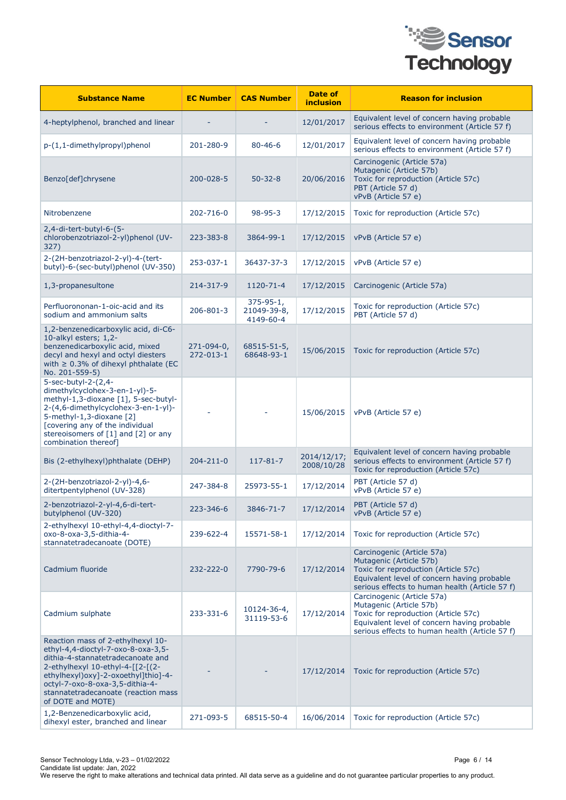

| <b>Substance Name</b>                                                                                                                                                                                                                                                                   | <b>EC Number</b>        | <b>CAS Number</b>                           | Date of<br><b>inclusion</b> | <b>Reason for inclusion</b>                                                                                                                                                                    |
|-----------------------------------------------------------------------------------------------------------------------------------------------------------------------------------------------------------------------------------------------------------------------------------------|-------------------------|---------------------------------------------|-----------------------------|------------------------------------------------------------------------------------------------------------------------------------------------------------------------------------------------|
| 4-heptylphenol, branched and linear                                                                                                                                                                                                                                                     |                         |                                             | 12/01/2017                  | Equivalent level of concern having probable<br>serious effects to environment (Article 57 f)                                                                                                   |
| p-(1,1-dimethylpropyl)phenol                                                                                                                                                                                                                                                            | 201-280-9               | $80 - 46 - 6$                               | 12/01/2017                  | Equivalent level of concern having probable<br>serious effects to environment (Article 57 f)                                                                                                   |
| Benzo[def]chrysene                                                                                                                                                                                                                                                                      | 200-028-5               | $50 - 32 - 8$                               | 20/06/2016                  | Carcinogenic (Article 57a)<br>Mutagenic (Article 57b)<br>Toxic for reproduction (Article 57c)<br>PBT (Article 57 d)<br>vPvB (Article 57 e)                                                     |
| Nitrobenzene                                                                                                                                                                                                                                                                            | 202-716-0               | $98 - 95 - 3$                               | 17/12/2015                  | Toxic for reproduction (Article 57c)                                                                                                                                                           |
| $2,4$ -di-tert-butyl-6- $(5-$<br>chlorobenzotriazol-2-yl)phenol (UV-<br>327)                                                                                                                                                                                                            | 223-383-8               | 3864-99-1                                   | 17/12/2015                  | vPvB (Article 57 e)                                                                                                                                                                            |
| 2-(2H-benzotriazol-2-yl)-4-(tert-<br>butyl)-6-(sec-butyl)phenol (UV-350)                                                                                                                                                                                                                | 253-037-1               | 36437-37-3                                  | 17/12/2015                  | vPvB (Article 57 e)                                                                                                                                                                            |
| 1,3-propanesultone                                                                                                                                                                                                                                                                      | 214-317-9               | 1120-71-4                                   | 17/12/2015                  | Carcinogenic (Article 57a)                                                                                                                                                                     |
| Perfluorononan-1-oic-acid and its<br>sodium and ammonium salts                                                                                                                                                                                                                          | 206-801-3               | $375 - 95 - 1,$<br>21049-39-8,<br>4149-60-4 | 17/12/2015                  | Toxic for reproduction (Article 57c)<br>PBT (Article 57 d)                                                                                                                                     |
| 1,2-benzenedicarboxylic acid, di-C6-<br>10-alkyl esters; 1,2-<br>benzenedicarboxylic acid, mixed<br>decyl and hexyl and octyl diesters<br>with $\geq$ 0.3% of dihexyl phthalate (EC<br>No. 201-559-5)                                                                                   | 271-094-0,<br>272-013-1 | 68515-51-5,<br>68648-93-1                   | 15/06/2015                  | Toxic for reproduction (Article 57c)                                                                                                                                                           |
| 5-sec-butyl-2-(2,4-<br>dimethylcyclohex-3-en-1-yl)-5-<br>methyl-1,3-dioxane [1], 5-sec-butyl-<br>2-(4,6-dimethylcyclohex-3-en-1-yl)-<br>5-methyl-1,3-dioxane [2]<br>[covering any of the individual<br>stereoisomers of [1] and [2] or any<br>combination thereof]                      |                         |                                             | 15/06/2015                  | vPvB (Article 57 e)                                                                                                                                                                            |
| Bis (2-ethylhexyl)phthalate (DEHP)                                                                                                                                                                                                                                                      | 204-211-0               | $117 - 81 - 7$                              | 2014/12/17;<br>2008/10/28   | Equivalent level of concern having probable<br>serious effects to environment (Article 57 f)<br>Toxic for reproduction (Article 57c)                                                           |
| 2-(2H-benzotriazol-2-yl)-4,6-<br>ditertpentylphenol (UV-328)                                                                                                                                                                                                                            | 247-384-8               | 25973-55-1                                  | 17/12/2014                  | PBT (Article 57 d)<br>vPvB (Article 57 e)                                                                                                                                                      |
| 2-benzotriazol-2-yl-4,6-di-tert-<br>butylphenol (UV-320)                                                                                                                                                                                                                                | 223-346-6               | 3846-71-7                                   | 17/12/2014                  | PBT (Article 57 d)<br>vPvB (Article 57 e)                                                                                                                                                      |
| 2-ethylhexyl 10-ethyl-4,4-dioctyl-7-<br>oxo-8-oxa-3,5-dithia-4-<br>stannatetradecanoate (DOTE)                                                                                                                                                                                          | 239-622-4               | 15571-58-1                                  | 17/12/2014                  | Toxic for reproduction (Article 57c)                                                                                                                                                           |
| Cadmium fluoride                                                                                                                                                                                                                                                                        | 232-222-0               | 7790-79-6                                   | 17/12/2014                  | Carcinogenic (Article 57a)<br>Mutagenic (Article 57b)<br>Toxic for reproduction (Article 57c)<br>Equivalent level of concern having probable<br>serious effects to human health (Article 57 f) |
| Cadmium sulphate                                                                                                                                                                                                                                                                        | 233-331-6               | 10124-36-4,<br>31119-53-6                   | 17/12/2014                  | Carcinogenic (Article 57a)<br>Mutagenic (Article 57b)<br>Toxic for reproduction (Article 57c)<br>Equivalent level of concern having probable<br>serious effects to human health (Article 57 f) |
| Reaction mass of 2-ethylhexyl 10-<br>ethyl-4,4-dioctyl-7-oxo-8-oxa-3,5-<br>dithia-4-stannatetradecanoate and<br>2-ethylhexyl 10-ethyl-4-[[2-[(2-<br>ethylhexyl) oxy]-2-oxoethyl]thio]-4-<br>octyl-7-oxo-8-oxa-3,5-dithia-4-<br>stannatetradecanoate (reaction mass<br>of DOTE and MOTE) |                         |                                             | 17/12/2014                  | Toxic for reproduction (Article 57c)                                                                                                                                                           |
| 1,2-Benzenedicarboxylic acid,<br>dihexyl ester, branched and linear                                                                                                                                                                                                                     | 271-093-5               | 68515-50-4                                  | 16/06/2014                  | Toxic for reproduction (Article 57c)                                                                                                                                                           |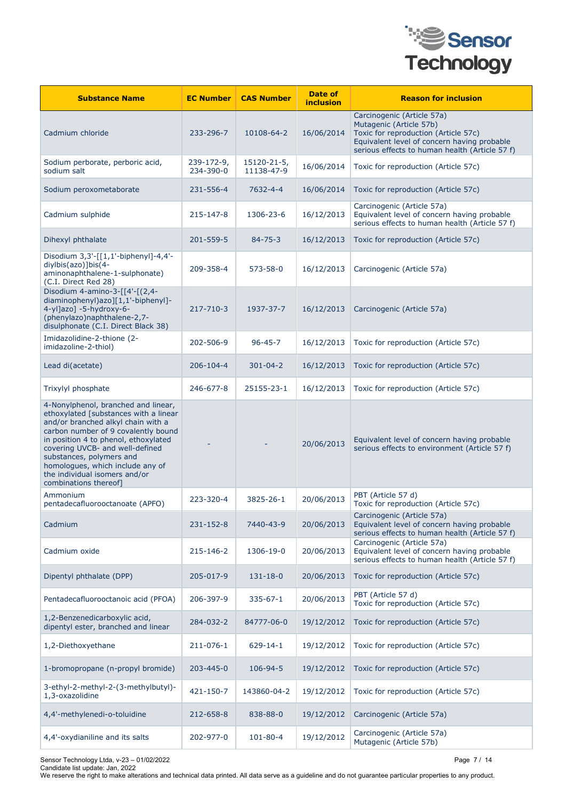

| <b>Substance Name</b>                                                                                                                                                                                                                                                                                                                                          | <b>EC Number</b>        | <b>CAS Number</b>         | Date of<br>inclusion | <b>Reason for inclusion</b>                                                                                                                                                                    |
|----------------------------------------------------------------------------------------------------------------------------------------------------------------------------------------------------------------------------------------------------------------------------------------------------------------------------------------------------------------|-------------------------|---------------------------|----------------------|------------------------------------------------------------------------------------------------------------------------------------------------------------------------------------------------|
| Cadmium chloride                                                                                                                                                                                                                                                                                                                                               | 233-296-7               | 10108-64-2                | 16/06/2014           | Carcinogenic (Article 57a)<br>Mutagenic (Article 57b)<br>Toxic for reproduction (Article 57c)<br>Equivalent level of concern having probable<br>serious effects to human health (Article 57 f) |
| Sodium perborate, perboric acid,<br>sodium salt                                                                                                                                                                                                                                                                                                                | 239-172-9,<br>234-390-0 | 15120-21-5,<br>11138-47-9 | 16/06/2014           | Toxic for reproduction (Article 57c)                                                                                                                                                           |
| Sodium peroxometaborate                                                                                                                                                                                                                                                                                                                                        | 231-556-4               | 7632-4-4                  | 16/06/2014           | Toxic for reproduction (Article 57c)                                                                                                                                                           |
| Cadmium sulphide                                                                                                                                                                                                                                                                                                                                               | 215-147-8               | 1306-23-6                 | 16/12/2013           | Carcinogenic (Article 57a)<br>Equivalent level of concern having probable<br>serious effects to human health (Article 57 f)                                                                    |
| Dihexyl phthalate                                                                                                                                                                                                                                                                                                                                              | 201-559-5               | $84 - 75 - 3$             | 16/12/2013           | Toxic for reproduction (Article 57c)                                                                                                                                                           |
| Disodium 3,3'-[[1,1'-biphenyl]-4,4'-<br>diylbis(azo)]bis(4-<br>aminonaphthalene-1-sulphonate)<br>(C.I. Direct Red 28)                                                                                                                                                                                                                                          | 209-358-4               | 573-58-0                  | 16/12/2013           | Carcinogenic (Article 57a)                                                                                                                                                                     |
| Disodium 4-amino-3-[[4'-[(2,4-<br>diaminophenyl)azo][1,1'-biphenyl]-<br>4-yl]azo] -5-hydroxy-6-<br>(phenylazo)naphthalene-2,7-<br>disulphonate (C.I. Direct Black 38)                                                                                                                                                                                          | 217-710-3               | 1937-37-7                 | 16/12/2013           | Carcinogenic (Article 57a)                                                                                                                                                                     |
| Imidazolidine-2-thione (2-<br>imidazoline-2-thiol)                                                                                                                                                                                                                                                                                                             | 202-506-9               | $96 - 45 - 7$             | 16/12/2013           | Toxic for reproduction (Article 57c)                                                                                                                                                           |
| Lead di(acetate)                                                                                                                                                                                                                                                                                                                                               | 206-104-4               | $301 - 04 - 2$            | 16/12/2013           | Toxic for reproduction (Article 57c)                                                                                                                                                           |
| Trixylyl phosphate                                                                                                                                                                                                                                                                                                                                             | 246-677-8               | 25155-23-1                | 16/12/2013           | Toxic for reproduction (Article 57c)                                                                                                                                                           |
| 4-Nonylphenol, branched and linear,<br>ethoxylated [substances with a linear<br>and/or branched alkyl chain with a<br>carbon number of 9 covalently bound<br>in position 4 to phenol, ethoxylated<br>covering UVCB- and well-defined<br>substances, polymers and<br>homologues, which include any of<br>the individual isomers and/or<br>combinations thereof] |                         |                           | 20/06/2013           | Equivalent level of concern having probable<br>serious effects to environment (Article 57 f)                                                                                                   |
| Ammonium<br>pentadecafluorooctanoate (APFO)                                                                                                                                                                                                                                                                                                                    | 223-320-4               | 3825-26-1                 | 20/06/2013           | PBT (Article 57 d)<br>Toxic for reproduction (Article 57c)                                                                                                                                     |
| Cadmium                                                                                                                                                                                                                                                                                                                                                        | 231-152-8               | 7440-43-9                 | 20/06/2013           | Carcinogenic (Article 57a)<br>Equivalent level of concern having probable<br>serious effects to human health (Article 57 f)                                                                    |
| Cadmium oxide                                                                                                                                                                                                                                                                                                                                                  | 215-146-2               | 1306-19-0                 | 20/06/2013           | Carcinogenic (Article 57a)<br>Equivalent level of concern having probable<br>serious effects to human health (Article 57 f)                                                                    |
| Dipentyl phthalate (DPP)                                                                                                                                                                                                                                                                                                                                       | 205-017-9               | 131-18-0                  | 20/06/2013           | Toxic for reproduction (Article 57c)                                                                                                                                                           |
| Pentadecafluorooctanoic acid (PFOA)                                                                                                                                                                                                                                                                                                                            | 206-397-9               | 335-67-1                  | 20/06/2013           | PBT (Article 57 d)<br>Toxic for reproduction (Article 57c)                                                                                                                                     |
| 1,2-Benzenedicarboxylic acid,<br>dipentyl ester, branched and linear                                                                                                                                                                                                                                                                                           | 284-032-2               | 84777-06-0                | 19/12/2012           | Toxic for reproduction (Article 57c)                                                                                                                                                           |
| 1,2-Diethoxyethane                                                                                                                                                                                                                                                                                                                                             | 211-076-1               | $629 - 14 - 1$            | 19/12/2012           | Toxic for reproduction (Article 57c)                                                                                                                                                           |
| 1-bromopropane (n-propyl bromide)                                                                                                                                                                                                                                                                                                                              | 203-445-0               | 106-94-5                  | 19/12/2012           | Toxic for reproduction (Article 57c)                                                                                                                                                           |
| 3-ethyl-2-methyl-2-(3-methylbutyl)-<br>1,3-oxazolidine                                                                                                                                                                                                                                                                                                         | 421-150-7               | 143860-04-2               | 19/12/2012           | Toxic for reproduction (Article 57c)                                                                                                                                                           |
| 4,4'-methylenedi-o-toluidine                                                                                                                                                                                                                                                                                                                                   | 212-658-8               | 838-88-0                  | 19/12/2012           | Carcinogenic (Article 57a)                                                                                                                                                                     |
| 4,4'-oxydianiline and its salts                                                                                                                                                                                                                                                                                                                                | 202-977-0               | $101 - 80 - 4$            | 19/12/2012           | Carcinogenic (Article 57a)<br>Mutagenic (Article 57b)                                                                                                                                          |

Sensor Technology Ltda, v-23 – 01/02/2022 Page 7 / 14 Candidate list update: Jan, 2022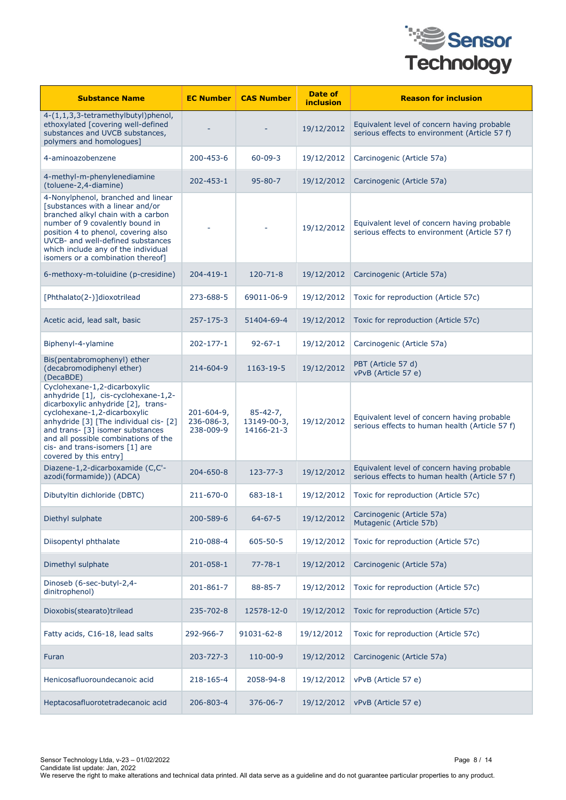

| <b>Substance Name</b>                                                                                                                                                                                                                                                                                                       | <b>EC Number</b>                      | <b>CAS Number</b>                           | Date of<br>inclusion | <b>Reason for inclusion</b>                                                                   |
|-----------------------------------------------------------------------------------------------------------------------------------------------------------------------------------------------------------------------------------------------------------------------------------------------------------------------------|---------------------------------------|---------------------------------------------|----------------------|-----------------------------------------------------------------------------------------------|
| 4-(1,1,3,3-tetramethylbutyl)phenol,<br>ethoxylated [covering well-defined<br>substances and UVCB substances,<br>polymers and homologues]                                                                                                                                                                                    |                                       |                                             | 19/12/2012           | Equivalent level of concern having probable<br>serious effects to environment (Article 57 f)  |
| 4-aminoazobenzene                                                                                                                                                                                                                                                                                                           | 200-453-6                             | $60 - 09 - 3$                               | 19/12/2012           | Carcinogenic (Article 57a)                                                                    |
| 4-methyl-m-phenylenediamine<br>(toluene-2,4-diamine)                                                                                                                                                                                                                                                                        | 202-453-1                             | $95 - 80 - 7$                               | 19/12/2012           | Carcinogenic (Article 57a)                                                                    |
| 4-Nonylphenol, branched and linear<br>[substances with a linear and/or<br>branched alkyl chain with a carbon<br>number of 9 covalently bound in<br>position 4 to phenol, covering also<br>UVCB- and well-defined substances<br>which include any of the individual<br>isomers or a combination thereof]                     |                                       |                                             | 19/12/2012           | Equivalent level of concern having probable<br>serious effects to environment (Article 57 f)  |
| 6-methoxy-m-toluidine (p-cresidine)                                                                                                                                                                                                                                                                                         | 204-419-1                             | $120 - 71 - 8$                              | 19/12/2012           | Carcinogenic (Article 57a)                                                                    |
| [Phthalato(2-)]dioxotrilead                                                                                                                                                                                                                                                                                                 | 273-688-5                             | 69011-06-9                                  | 19/12/2012           | Toxic for reproduction (Article 57c)                                                          |
| Acetic acid, lead salt, basic                                                                                                                                                                                                                                                                                               | 257-175-3                             | 51404-69-4                                  | 19/12/2012           | Toxic for reproduction (Article 57c)                                                          |
| Biphenyl-4-ylamine                                                                                                                                                                                                                                                                                                          | 202-177-1                             | $92 - 67 - 1$                               | 19/12/2012           | Carcinogenic (Article 57a)                                                                    |
| Bis(pentabromophenyl) ether<br>(decabromodiphenyl ether)<br>(DecaBDE)                                                                                                                                                                                                                                                       | 214-604-9                             | 1163-19-5                                   | 19/12/2012           | PBT (Article 57 d)<br>vPvB (Article 57 e)                                                     |
| Cyclohexane-1,2-dicarboxylic<br>anhydride [1], cis-cyclohexane-1,2-<br>dicarboxylic anhydride [2], trans-<br>cyclohexane-1,2-dicarboxylic<br>anhydride [3] [The individual cis- [2]<br>and trans- [3] isomer substances<br>and all possible combinations of the<br>cis- and trans-isomers [1] are<br>covered by this entry] | 201-604-9,<br>236-086-3,<br>238-009-9 | $85 - 42 - 7,$<br>13149-00-3,<br>14166-21-3 | 19/12/2012           | Equivalent level of concern having probable<br>serious effects to human health (Article 57 f) |
| Diazene-1,2-dicarboxamide (C,C'-<br>azodi(formamide)) (ADCA)                                                                                                                                                                                                                                                                | 204-650-8                             | 123-77-3                                    | 19/12/2012           | Equivalent level of concern having probable<br>serious effects to human health (Article 57 f) |
| Dibutyltin dichloride (DBTC)                                                                                                                                                                                                                                                                                                | 211-670-0                             | 683-18-1                                    | 19/12/2012           | Toxic for reproduction (Article 57c)                                                          |
| Diethyl sulphate                                                                                                                                                                                                                                                                                                            | 200-589-6                             | $64 - 67 - 5$                               | 19/12/2012           | Carcinogenic (Article 57a)<br>Mutagenic (Article 57b)                                         |
| Diisopentyl phthalate                                                                                                                                                                                                                                                                                                       | 210-088-4                             | $605 - 50 - 5$                              | 19/12/2012           | Toxic for reproduction (Article 57c)                                                          |
| Dimethyl sulphate                                                                                                                                                                                                                                                                                                           | 201-058-1                             | $77 - 78 - 1$                               | 19/12/2012           | Carcinogenic (Article 57a)                                                                    |
| Dinoseb (6-sec-butyl-2,4-<br>dinitrophenol)                                                                                                                                                                                                                                                                                 | 201-861-7                             | 88-85-7                                     | 19/12/2012           | Toxic for reproduction (Article 57c)                                                          |
| Dioxobis(stearato)trilead                                                                                                                                                                                                                                                                                                   | 235-702-8                             | 12578-12-0                                  | 19/12/2012           | Toxic for reproduction (Article 57c)                                                          |
| Fatty acids, C16-18, lead salts                                                                                                                                                                                                                                                                                             | 292-966-7                             | 91031-62-8                                  | 19/12/2012           | Toxic for reproduction (Article 57c)                                                          |
| Furan                                                                                                                                                                                                                                                                                                                       | 203-727-3                             | $110 - 00 - 9$                              | 19/12/2012           | Carcinogenic (Article 57a)                                                                    |
| Henicosafluoroundecanoic acid                                                                                                                                                                                                                                                                                               | 218-165-4                             | 2058-94-8                                   | 19/12/2012           | vPvB (Article 57 e)                                                                           |
| Heptacosafluorotetradecanoic acid                                                                                                                                                                                                                                                                                           | 206-803-4                             | 376-06-7                                    | 19/12/2012           | vPvB (Article 57 e)                                                                           |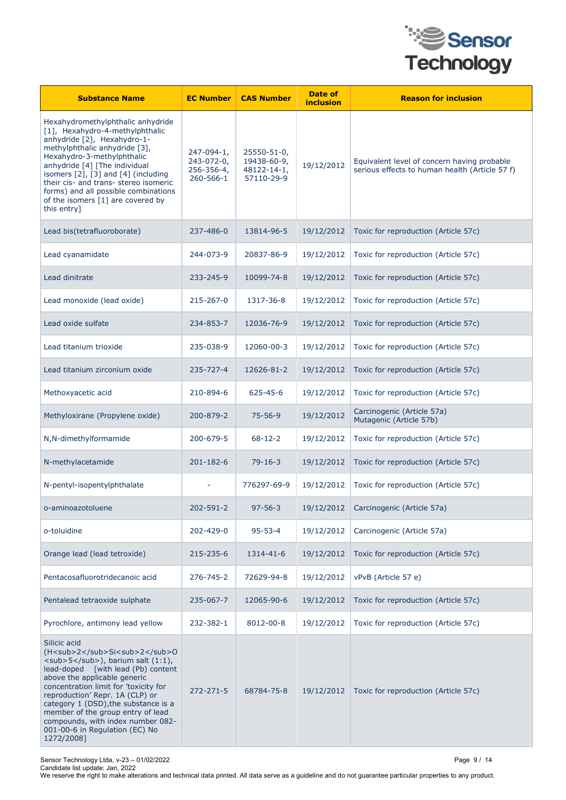

| <b>Substance Name</b>                                                                                                                                                                                                                                                                                                                                                                                                                                 | <b>EC Number</b>                                    | <b>CAS Number</b>                                       | Date of<br><b>inclusion</b> | <b>Reason for inclusion</b>                                                                   |
|-------------------------------------------------------------------------------------------------------------------------------------------------------------------------------------------------------------------------------------------------------------------------------------------------------------------------------------------------------------------------------------------------------------------------------------------------------|-----------------------------------------------------|---------------------------------------------------------|-----------------------------|-----------------------------------------------------------------------------------------------|
| Hexahydromethylphthalic anhydride<br>[1], Hexahydro-4-methylphthalic<br>anhydride [2], Hexahydro-1-<br>methylphthalic anhydride [3],<br>Hexahydro-3-methylphthalic<br>anhydride [4] [The individual<br>isomers [2], [3] and [4] (including<br>their cis- and trans- stereo isomeric<br>forms) and all possible combinations<br>of the isomers [1] are covered by<br>this entry]                                                                       | 247-094-1,<br>243-072-0,<br>256-356-4,<br>260-566-1 | 25550-51-0,<br>19438-60-9,<br>48122-14-1,<br>57110-29-9 | 19/12/2012                  | Equivalent level of concern having probable<br>serious effects to human health (Article 57 f) |
| Lead bis(tetrafluoroborate)                                                                                                                                                                                                                                                                                                                                                                                                                           | 237-486-0                                           | 13814-96-5                                              | 19/12/2012                  | Toxic for reproduction (Article 57c)                                                          |
| Lead cyanamidate                                                                                                                                                                                                                                                                                                                                                                                                                                      | 244-073-9                                           | 20837-86-9                                              | 19/12/2012                  | Toxic for reproduction (Article 57c)                                                          |
| Lead dinitrate                                                                                                                                                                                                                                                                                                                                                                                                                                        | 233-245-9                                           | 10099-74-8                                              | 19/12/2012                  | Toxic for reproduction (Article 57c)                                                          |
| Lead monoxide (lead oxide)                                                                                                                                                                                                                                                                                                                                                                                                                            | 215-267-0                                           | 1317-36-8                                               | 19/12/2012                  | Toxic for reproduction (Article 57c)                                                          |
| Lead oxide sulfate                                                                                                                                                                                                                                                                                                                                                                                                                                    | 234-853-7                                           | 12036-76-9                                              | 19/12/2012                  | Toxic for reproduction (Article 57c)                                                          |
| Lead titanium trioxide                                                                                                                                                                                                                                                                                                                                                                                                                                | 235-038-9                                           | 12060-00-3                                              | 19/12/2012                  | Toxic for reproduction (Article 57c)                                                          |
| Lead titanium zirconium oxide                                                                                                                                                                                                                                                                                                                                                                                                                         | 235-727-4                                           | 12626-81-2                                              | 19/12/2012                  | Toxic for reproduction (Article 57c)                                                          |
| Methoxyacetic acid                                                                                                                                                                                                                                                                                                                                                                                                                                    | 210-894-6                                           | $625 - 45 - 6$                                          | 19/12/2012                  | Toxic for reproduction (Article 57c)                                                          |
| Methyloxirane (Propylene oxide)                                                                                                                                                                                                                                                                                                                                                                                                                       | 200-879-2                                           | $75 - 56 - 9$                                           | 19/12/2012                  | Carcinogenic (Article 57a)<br>Mutagenic (Article 57b)                                         |
| N,N-dimethylformamide                                                                                                                                                                                                                                                                                                                                                                                                                                 | 200-679-5                                           | $68 - 12 - 2$                                           | 19/12/2012                  | Toxic for reproduction (Article 57c)                                                          |
| N-methylacetamide                                                                                                                                                                                                                                                                                                                                                                                                                                     | $201 - 182 - 6$                                     | $79 - 16 - 3$                                           | 19/12/2012                  | Toxic for reproduction (Article 57c)                                                          |
| N-pentyl-isopentylphthalate                                                                                                                                                                                                                                                                                                                                                                                                                           |                                                     | 776297-69-9                                             | 19/12/2012                  | Toxic for reproduction (Article 57c)                                                          |
| o-aminoazotoluene                                                                                                                                                                                                                                                                                                                                                                                                                                     | 202-591-2                                           | $97 - 56 - 3$                                           | 19/12/2012                  | Carcinogenic (Article 57a)                                                                    |
| o-toluidine                                                                                                                                                                                                                                                                                                                                                                                                                                           | 202-429-0                                           | $95 - 53 - 4$                                           | 19/12/2012                  | Carcinogenic (Article 57a)                                                                    |
| Orange lead (lead tetroxide)                                                                                                                                                                                                                                                                                                                                                                                                                          | 215-235-6                                           | 1314-41-6                                               | 19/12/2012                  | Toxic for reproduction (Article 57c)                                                          |
| Pentacosafluorotridecanoic acid                                                                                                                                                                                                                                                                                                                                                                                                                       | 276-745-2                                           | 72629-94-8                                              | 19/12/2012                  | vPvB (Article 57 e)                                                                           |
| Pentalead tetraoxide sulphate                                                                                                                                                                                                                                                                                                                                                                                                                         | 235-067-7                                           | 12065-90-6                                              | 19/12/2012                  | Toxic for reproduction (Article 57c)                                                          |
| Pyrochlore, antimony lead yellow                                                                                                                                                                                                                                                                                                                                                                                                                      | 232-382-1                                           | 8012-00-8                                               | 19/12/2012                  | Toxic for reproduction (Article 57c)                                                          |
| Silicic acid<br>(H <sub>2</sub> Si <sub>2</sub> O<br>$\langle \text{sub}>5\\ \langle \text{sub}> \rangle$ , barium salt $(1:1)$ ,<br>lead-doped [with lead (Pb) content<br>above the applicable generic<br>concentration limit for 'toxicity for<br>reproduction' Repr. 1A (CLP) or<br>category 1 (DSD), the substance is a<br>member of the group entry of lead<br>compounds, with index number 082-<br>001-00-6 in Regulation (EC) No<br>1272/2008] | $272 - 271 - 5$                                     | 68784-75-8                                              | 19/12/2012                  | Toxic for reproduction (Article 57c)                                                          |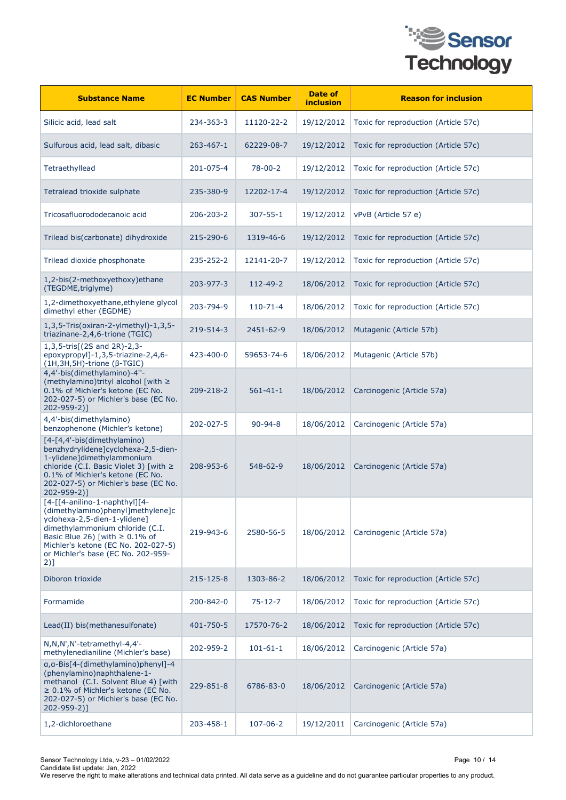

| <b>Substance Name</b>                                                                                                                                                                                                                                                | <b>EC Number</b> | <b>CAS Number</b> | Date of<br>inclusion | <b>Reason for inclusion</b>          |
|----------------------------------------------------------------------------------------------------------------------------------------------------------------------------------------------------------------------------------------------------------------------|------------------|-------------------|----------------------|--------------------------------------|
| Silicic acid, lead salt                                                                                                                                                                                                                                              | 234-363-3        | 11120-22-2        | 19/12/2012           | Toxic for reproduction (Article 57c) |
| Sulfurous acid, lead salt, dibasic                                                                                                                                                                                                                                   | 263-467-1        | 62229-08-7        | 19/12/2012           | Toxic for reproduction (Article 57c) |
| Tetraethyllead                                                                                                                                                                                                                                                       | 201-075-4        | $78 - 00 - 2$     | 19/12/2012           | Toxic for reproduction (Article 57c) |
| Tetralead trioxide sulphate                                                                                                                                                                                                                                          | 235-380-9        | 12202-17-4        | 19/12/2012           | Toxic for reproduction (Article 57c) |
| Tricosafluorododecanoic acid                                                                                                                                                                                                                                         | 206-203-2        | $307 - 55 - 1$    | 19/12/2012           | vPvB (Article 57 e)                  |
| Trilead bis(carbonate) dihydroxide                                                                                                                                                                                                                                   | 215-290-6        | 1319-46-6         | 19/12/2012           | Toxic for reproduction (Article 57c) |
| Trilead dioxide phosphonate                                                                                                                                                                                                                                          | 235-252-2        | 12141-20-7        | 19/12/2012           | Toxic for reproduction (Article 57c) |
| 1,2-bis(2-methoxyethoxy)ethane<br>(TEGDME, triglyme)                                                                                                                                                                                                                 | 203-977-3        | 112-49-2          | 18/06/2012           | Toxic for reproduction (Article 57c) |
| 1,2-dimethoxyethane, ethylene glycol<br>dimethyl ether (EGDME)                                                                                                                                                                                                       | 203-794-9        | $110 - 71 - 4$    | 18/06/2012           | Toxic for reproduction (Article 57c) |
| 1,3,5-Tris(oxiran-2-ylmethyl)-1,3,5-<br>triazinane-2,4,6-trione (TGIC)                                                                                                                                                                                               | 219-514-3        | 2451-62-9         | 18/06/2012           | Mutagenic (Article 57b)              |
| 1,3,5-tris[(2S and 2R)-2,3-<br>epoxypropyl]-1,3,5-triazine-2,4,6-<br>(1H, 3H, 5H)-trione (β-TGIC)                                                                                                                                                                    | 423-400-0        | 59653-74-6        | 18/06/2012           | Mutagenic (Article 57b)              |
| 4,4'-bis(dimethylamino)-4"-<br>(methylamino)trityl alcohol [with ≥<br>0.1% of Michler's ketone (EC No.<br>202-027-5) or Michler's base (EC No.<br>202-959-2)]                                                                                                        | 209-218-2        | $561 - 41 - 1$    | 18/06/2012           | Carcinogenic (Article 57a)           |
| 4,4'-bis(dimethylamino)<br>benzophenone (Michler's ketone)                                                                                                                                                                                                           | 202-027-5        | $90 - 94 - 8$     | 18/06/2012           | Carcinogenic (Article 57a)           |
| [4-[4,4'-bis(dimethylamino)<br>benzhydrylidene]cyclohexa-2,5-dien-<br>1-ylidene]dimethylammonium<br>chloride (C.I. Basic Violet 3) [with $\ge$<br>0.1% of Michler's ketone (EC No.<br>202-027-5) or Michler's base (EC No.<br>$202 - 959 - 2$ ]                      | 208-953-6        | 548-62-9          | 18/06/2012           | Carcinogenic (Article 57a)           |
| [4-[[4-anilino-1-naphthyl][4-<br>(dimethylamino)phenyl]methylene]c<br>yclohexa-2,5-dien-1-ylidene]<br>dimethylammonium chloride (C.I.<br>Basic Blue 26) [with $\geq 0.1\%$ of<br>Michler's ketone (EC No. 202-027-5)<br>or Michler's base (EC No. 202-959-<br>$2)$ ] | 219-943-6        | 2580-56-5         | 18/06/2012           | Carcinogenic (Article 57a)           |
| Diboron trioxide                                                                                                                                                                                                                                                     | 215-125-8        | 1303-86-2         | 18/06/2012           | Toxic for reproduction (Article 57c) |
| Formamide                                                                                                                                                                                                                                                            | 200-842-0        | $75 - 12 - 7$     | 18/06/2012           | Toxic for reproduction (Article 57c) |
| Lead(II) bis(methanesulfonate)                                                                                                                                                                                                                                       | 401-750-5        | 17570-76-2        | 18/06/2012           | Toxic for reproduction (Article 57c) |
| N, N, N', N'-tetramethyl-4, 4'-<br>methylenedianiline (Michler's base)                                                                                                                                                                                               | 202-959-2        | $101 - 61 - 1$    | 18/06/2012           | Carcinogenic (Article 57a)           |
| a, a-Bis[4-(dimethylamino) phenyl]-4<br>(phenylamino) naphthalene-1-<br>methanol (C.I. Solvent Blue 4) [with<br>$\geq$ 0.1% of Michler's ketone (EC No.<br>202-027-5) or Michler's base (EC No.<br>202-959-2)]                                                       | 229-851-8        | 6786-83-0         | 18/06/2012           | Carcinogenic (Article 57a)           |
| 1,2-dichloroethane                                                                                                                                                                                                                                                   | 203-458-1        | 107-06-2          | 19/12/2011           | Carcinogenic (Article 57a)           |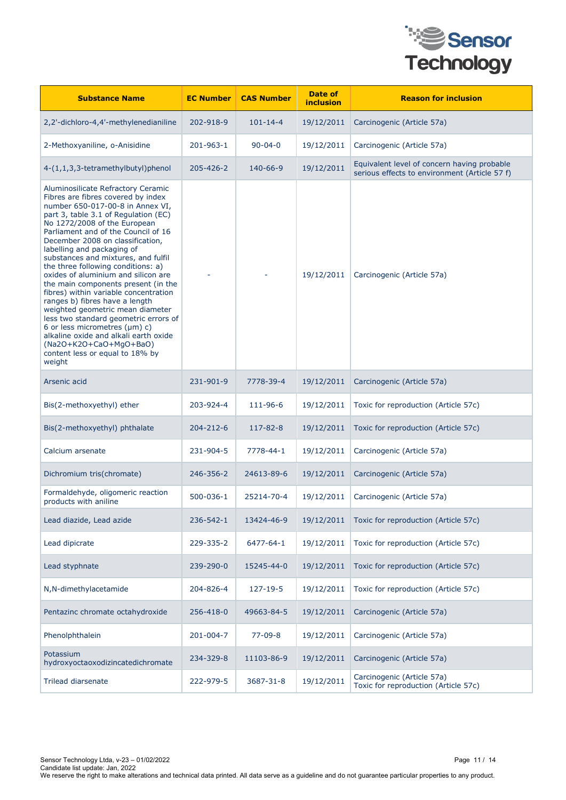

| <b>Substance Name</b>                                                                                                                                                                                                                                                                                                                                                                                                                                                                                                                                                                                                                                                                                                                                                  | <b>EC Number</b> | <b>CAS Number</b> | Date of<br><i>inclusion</i> | <b>Reason for inclusion</b>                                                                  |
|------------------------------------------------------------------------------------------------------------------------------------------------------------------------------------------------------------------------------------------------------------------------------------------------------------------------------------------------------------------------------------------------------------------------------------------------------------------------------------------------------------------------------------------------------------------------------------------------------------------------------------------------------------------------------------------------------------------------------------------------------------------------|------------------|-------------------|-----------------------------|----------------------------------------------------------------------------------------------|
| 2,2'-dichloro-4,4'-methylenedianiline                                                                                                                                                                                                                                                                                                                                                                                                                                                                                                                                                                                                                                                                                                                                  | 202-918-9        | $101 - 14 - 4$    | 19/12/2011                  | Carcinogenic (Article 57a)                                                                   |
| 2-Methoxyaniline, o-Anisidine                                                                                                                                                                                                                                                                                                                                                                                                                                                                                                                                                                                                                                                                                                                                          | 201-963-1        | $90 - 04 - 0$     | 19/12/2011                  | Carcinogenic (Article 57a)                                                                   |
| 4-(1,1,3,3-tetramethylbutyl)phenol                                                                                                                                                                                                                                                                                                                                                                                                                                                                                                                                                                                                                                                                                                                                     | 205-426-2        | 140-66-9          | 19/12/2011                  | Equivalent level of concern having probable<br>serious effects to environment (Article 57 f) |
| Aluminosilicate Refractory Ceramic<br>Fibres are fibres covered by index<br>number 650-017-00-8 in Annex VI,<br>part 3, table 3.1 of Regulation (EC)<br>No 1272/2008 of the European<br>Parliament and of the Council of 16<br>December 2008 on classification,<br>labelling and packaging of<br>substances and mixtures, and fulfil<br>the three following conditions: a)<br>oxides of aluminium and silicon are<br>the main components present (in the<br>fibres) within variable concentration<br>ranges b) fibres have a length<br>weighted geometric mean diameter<br>less two standard geometric errors of<br>6 or less micrometres $(\mu m)$ c)<br>alkaline oxide and alkali earth oxide<br>(Na2O+K2O+CaO+MgO+BaO)<br>content less or equal to 18% by<br>weight |                  |                   | 19/12/2011                  | Carcinogenic (Article 57a)                                                                   |
| Arsenic acid                                                                                                                                                                                                                                                                                                                                                                                                                                                                                                                                                                                                                                                                                                                                                           | 231-901-9        | 7778-39-4         | 19/12/2011                  | Carcinogenic (Article 57a)                                                                   |
| Bis(2-methoxyethyl) ether                                                                                                                                                                                                                                                                                                                                                                                                                                                                                                                                                                                                                                                                                                                                              | 203-924-4        | 111-96-6          | 19/12/2011                  | Toxic for reproduction (Article 57c)                                                         |
| Bis(2-methoxyethyl) phthalate                                                                                                                                                                                                                                                                                                                                                                                                                                                                                                                                                                                                                                                                                                                                          | 204-212-6        | 117-82-8          | 19/12/2011                  | Toxic for reproduction (Article 57c)                                                         |
| Calcium arsenate                                                                                                                                                                                                                                                                                                                                                                                                                                                                                                                                                                                                                                                                                                                                                       | 231-904-5        | 7778-44-1         | 19/12/2011                  | Carcinogenic (Article 57a)                                                                   |
| Dichromium tris(chromate)                                                                                                                                                                                                                                                                                                                                                                                                                                                                                                                                                                                                                                                                                                                                              | 246-356-2        | 24613-89-6        | 19/12/2011                  | Carcinogenic (Article 57a)                                                                   |
| Formaldehyde, oligomeric reaction<br>products with aniline                                                                                                                                                                                                                                                                                                                                                                                                                                                                                                                                                                                                                                                                                                             | 500-036-1        | 25214-70-4        | 19/12/2011                  | Carcinogenic (Article 57a)                                                                   |
| Lead diazide, Lead azide                                                                                                                                                                                                                                                                                                                                                                                                                                                                                                                                                                                                                                                                                                                                               | 236-542-1        | 13424-46-9        | 19/12/2011                  | Toxic for reproduction (Article 57c)                                                         |
| Lead dipicrate                                                                                                                                                                                                                                                                                                                                                                                                                                                                                                                                                                                                                                                                                                                                                         | 229-335-2        | 6477-64-1         | 19/12/2011                  | Toxic for reproduction (Article 57c)                                                         |
| Lead styphnate                                                                                                                                                                                                                                                                                                                                                                                                                                                                                                                                                                                                                                                                                                                                                         | 239-290-0        | 15245-44-0        | 19/12/2011                  | Toxic for reproduction (Article 57c)                                                         |
| N, N-dimethylacetamide                                                                                                                                                                                                                                                                                                                                                                                                                                                                                                                                                                                                                                                                                                                                                 | 204-826-4        | 127-19-5          | 19/12/2011                  | Toxic for reproduction (Article 57c)                                                         |
| Pentazinc chromate octahydroxide                                                                                                                                                                                                                                                                                                                                                                                                                                                                                                                                                                                                                                                                                                                                       | 256-418-0        | 49663-84-5        | 19/12/2011                  | Carcinogenic (Article 57a)                                                                   |
| Phenolphthalein                                                                                                                                                                                                                                                                                                                                                                                                                                                                                                                                                                                                                                                                                                                                                        | 201-004-7        | $77 - 09 - 8$     | 19/12/2011                  | Carcinogenic (Article 57a)                                                                   |
| Potassium<br>hydroxyoctaoxodizincatedichromate                                                                                                                                                                                                                                                                                                                                                                                                                                                                                                                                                                                                                                                                                                                         | 234-329-8        | 11103-86-9        | 19/12/2011                  | Carcinogenic (Article 57a)                                                                   |
| <b>Trilead diarsenate</b>                                                                                                                                                                                                                                                                                                                                                                                                                                                                                                                                                                                                                                                                                                                                              | 222-979-5        | 3687-31-8         | 19/12/2011                  | Carcinogenic (Article 57a)<br>Toxic for reproduction (Article 57c)                           |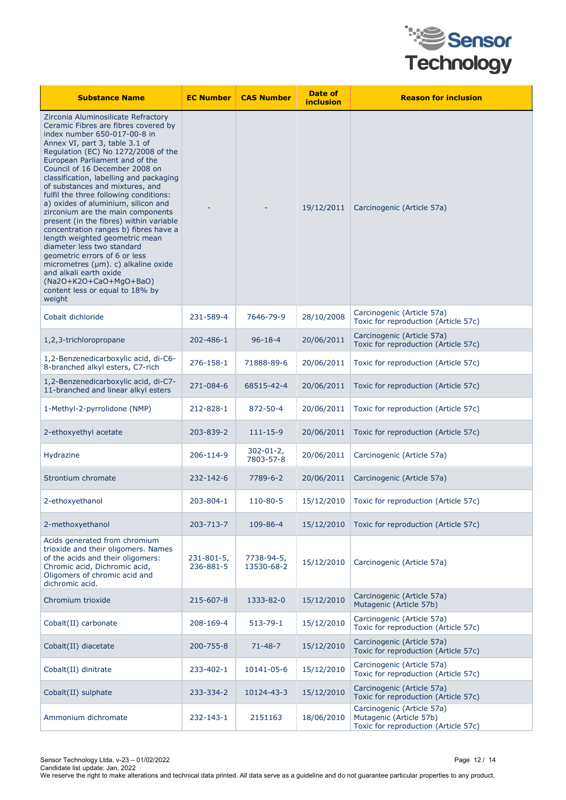

| <b>Substance Name</b>                                                                                                                                                                                                                                                                                                                                                                                                                                                                                                                                                                                                                                                                                                                                                                           | <b>EC Number</b>             | <b>CAS Number</b>           | Date of<br>inclusion | <b>Reason for inclusion</b>                                                                   |
|-------------------------------------------------------------------------------------------------------------------------------------------------------------------------------------------------------------------------------------------------------------------------------------------------------------------------------------------------------------------------------------------------------------------------------------------------------------------------------------------------------------------------------------------------------------------------------------------------------------------------------------------------------------------------------------------------------------------------------------------------------------------------------------------------|------------------------------|-----------------------------|----------------------|-----------------------------------------------------------------------------------------------|
| Zirconia Aluminosilicate Refractory<br>Ceramic Fibres are fibres covered by<br>index number 650-017-00-8 in<br>Annex VI, part 3, table 3.1 of<br>Regulation (EC) No 1272/2008 of the<br>European Parliament and of the<br>Council of 16 December 2008 on<br>classification, labelling and packaging<br>of substances and mixtures, and<br>fulfil the three following conditions:<br>a) oxides of aluminium, silicon and<br>zirconium are the main components<br>present (in the fibres) within variable<br>concentration ranges b) fibres have a<br>length weighted geometric mean<br>diameter less two standard<br>geometric errors of 6 or less<br>micrometres $(\mu m)$ . c) alkaline oxide<br>and alkali earth oxide<br>(Na2O+K2O+CaO+MgO+BaO)<br>content less or equal to 18% by<br>weight |                              |                             | 19/12/2011           | Carcinogenic (Article 57a)                                                                    |
| Cobalt dichloride                                                                                                                                                                                                                                                                                                                                                                                                                                                                                                                                                                                                                                                                                                                                                                               | 231-589-4                    | 7646-79-9                   | 28/10/2008           | Carcinogenic (Article 57a)<br>Toxic for reproduction (Article 57c)                            |
| 1,2,3-trichloropropane                                                                                                                                                                                                                                                                                                                                                                                                                                                                                                                                                                                                                                                                                                                                                                          | 202-486-1                    | $96 - 18 - 4$               | 20/06/2011           | Carcinogenic (Article 57a)<br>Toxic for reproduction (Article 57c)                            |
| 1,2-Benzenedicarboxylic acid, di-C6-<br>8-branched alkyl esters, C7-rich                                                                                                                                                                                                                                                                                                                                                                                                                                                                                                                                                                                                                                                                                                                        | 276-158-1                    | 71888-89-6                  | 20/06/2011           | Toxic for reproduction (Article 57c)                                                          |
| 1,2-Benzenedicarboxylic acid, di-C7-<br>11-branched and linear alkyl esters                                                                                                                                                                                                                                                                                                                                                                                                                                                                                                                                                                                                                                                                                                                     | 271-084-6                    | 68515-42-4                  | 20/06/2011           | Toxic for reproduction (Article 57c)                                                          |
| 1-Methyl-2-pyrrolidone (NMP)                                                                                                                                                                                                                                                                                                                                                                                                                                                                                                                                                                                                                                                                                                                                                                    | 212-828-1                    | 872-50-4                    | 20/06/2011           | Toxic for reproduction (Article 57c)                                                          |
| 2-ethoxyethyl acetate                                                                                                                                                                                                                                                                                                                                                                                                                                                                                                                                                                                                                                                                                                                                                                           | 203-839-2                    | $111 - 15 - 9$              | 20/06/2011           | Toxic for reproduction (Article 57c)                                                          |
| Hydrazine                                                                                                                                                                                                                                                                                                                                                                                                                                                                                                                                                                                                                                                                                                                                                                                       | 206-114-9                    | $302 - 01 - 2$<br>7803-57-8 | 20/06/2011           | Carcinogenic (Article 57a)                                                                    |
| Strontium chromate                                                                                                                                                                                                                                                                                                                                                                                                                                                                                                                                                                                                                                                                                                                                                                              | 232-142-6                    | 7789-6-2                    | 20/06/2011           | Carcinogenic (Article 57a)                                                                    |
| 2-ethoxyethanol                                                                                                                                                                                                                                                                                                                                                                                                                                                                                                                                                                                                                                                                                                                                                                                 | 203-804-1                    | 110-80-5                    | 15/12/2010           | Toxic for reproduction (Article 57c)                                                          |
| 2-methoxyethanol                                                                                                                                                                                                                                                                                                                                                                                                                                                                                                                                                                                                                                                                                                                                                                                | 203-713-7                    | 109-86-4                    | 15/12/2010           | Toxic for reproduction (Article 57c)                                                          |
| Acids generated from chromium<br>trioxide and their oligomers. Names<br>of the acids and their oligomers:<br>Chromic acid, Dichromic acid,<br>Oligomers of chromic acid and<br>dichromic acid.                                                                                                                                                                                                                                                                                                                                                                                                                                                                                                                                                                                                  | $231 - 801 - 5$<br>236-881-5 | 7738-94-5,<br>13530-68-2    | 15/12/2010           | Carcinogenic (Article 57a)                                                                    |
| Chromium trioxide                                                                                                                                                                                                                                                                                                                                                                                                                                                                                                                                                                                                                                                                                                                                                                               | 215-607-8                    | 1333-82-0                   | 15/12/2010           | Carcinogenic (Article 57a)<br>Mutagenic (Article 57b)                                         |
| Cobalt(II) carbonate                                                                                                                                                                                                                                                                                                                                                                                                                                                                                                                                                                                                                                                                                                                                                                            | 208-169-4                    | $513 - 79 - 1$              | 15/12/2010           | Carcinogenic (Article 57a)<br>Toxic for reproduction (Article 57c)                            |
| Cobalt(II) diacetate                                                                                                                                                                                                                                                                                                                                                                                                                                                                                                                                                                                                                                                                                                                                                                            | 200-755-8                    | $71 - 48 - 7$               | 15/12/2010           | Carcinogenic (Article 57a)<br>Toxic for reproduction (Article 57c)                            |
| Cobalt(II) dinitrate                                                                                                                                                                                                                                                                                                                                                                                                                                                                                                                                                                                                                                                                                                                                                                            | 233-402-1                    | 10141-05-6                  | 15/12/2010           | Carcinogenic (Article 57a)<br>Toxic for reproduction (Article 57c)                            |
| Cobalt(II) sulphate                                                                                                                                                                                                                                                                                                                                                                                                                                                                                                                                                                                                                                                                                                                                                                             | 233-334-2                    | 10124-43-3                  | 15/12/2010           | Carcinogenic (Article 57a)<br>Toxic for reproduction (Article 57c)                            |
| Ammonium dichromate                                                                                                                                                                                                                                                                                                                                                                                                                                                                                                                                                                                                                                                                                                                                                                             | 232-143-1                    | 2151163                     | 18/06/2010           | Carcinogenic (Article 57a)<br>Mutagenic (Article 57b)<br>Toxic for reproduction (Article 57c) |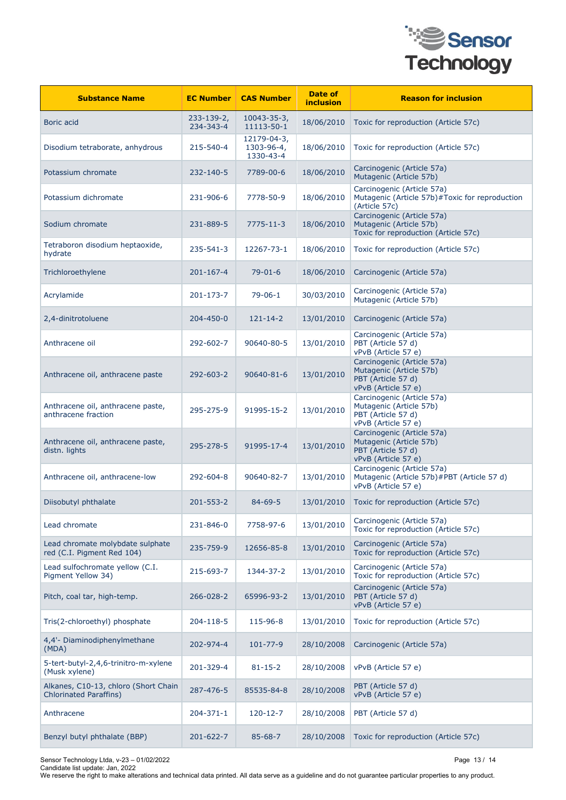

| <b>Substance Name</b>                                                 | <b>EC Number</b>              | <b>CAS Number</b>                      | Date of<br>inclusion | <b>Reason for inclusion</b>                                                                        |
|-----------------------------------------------------------------------|-------------------------------|----------------------------------------|----------------------|----------------------------------------------------------------------------------------------------|
| Boric acid                                                            | $233 - 139 - 2,$<br>234-343-4 | $10043 - 35 - 3,$<br>11113-50-1        | 18/06/2010           | Toxic for reproduction (Article 57c)                                                               |
| Disodium tetraborate, anhydrous                                       | 215-540-4                     | 12179-04-3,<br>1303-96-4,<br>1330-43-4 | 18/06/2010           | Toxic for reproduction (Article 57c)                                                               |
| Potassium chromate                                                    | 232-140-5                     | 7789-00-6                              | 18/06/2010           | Carcinogenic (Article 57a)<br>Mutagenic (Article 57b)                                              |
| Potassium dichromate                                                  | 231-906-6                     | 7778-50-9                              | 18/06/2010           | Carcinogenic (Article 57a)<br>Mutagenic (Article 57b)#Toxic for reproduction<br>(Article 57c)      |
| Sodium chromate                                                       | 231-889-5                     | 7775-11-3                              | 18/06/2010           | Carcinogenic (Article 57a)<br>Mutagenic (Article 57b)<br>Toxic for reproduction (Article 57c)      |
| Tetraboron disodium heptaoxide,<br>hydrate                            | 235-541-3                     | 12267-73-1                             | 18/06/2010           | Toxic for reproduction (Article 57c)                                                               |
| Trichloroethylene                                                     | 201-167-4                     | $79 - 01 - 6$                          | 18/06/2010           | Carcinogenic (Article 57a)                                                                         |
| Acrylamide                                                            | 201-173-7                     | $79 - 06 - 1$                          | 30/03/2010           | Carcinogenic (Article 57a)<br>Mutagenic (Article 57b)                                              |
| 2,4-dinitrotoluene                                                    | 204-450-0                     | $121 - 14 - 2$                         | 13/01/2010           | Carcinogenic (Article 57a)                                                                         |
| Anthracene oil                                                        | 292-602-7                     | 90640-80-5                             | 13/01/2010           | Carcinogenic (Article 57a)<br>PBT (Article 57 d)<br>vPvB (Article 57 e)                            |
| Anthracene oil, anthracene paste                                      | 292-603-2                     | $90640 - 81 - 6$                       | 13/01/2010           | Carcinogenic (Article 57a)<br>Mutagenic (Article 57b)<br>PBT (Article 57 d)<br>vPvB (Article 57 e) |
| Anthracene oil, anthracene paste,<br>anthracene fraction              | 295-275-9                     | 91995-15-2                             | 13/01/2010           | Carcinogenic (Article 57a)<br>Mutagenic (Article 57b)<br>PBT (Article 57 d)<br>vPvB (Article 57 e) |
| Anthracene oil, anthracene paste,<br>distn. lights                    | 295-278-5                     | 91995-17-4                             | 13/01/2010           | Carcinogenic (Article 57a)<br>Mutagenic (Article 57b)<br>PBT (Article 57 d)<br>vPvB (Article 57 e) |
| Anthracene oil, anthracene-low                                        | 292-604-8                     | 90640-82-7                             | 13/01/2010           | Carcinogenic (Article 57a)<br>Mutagenic (Article 57b)#PBT (Article 57 d)<br>vPvB (Article 57 e)    |
| Diisobutyl phthalate                                                  | 201-553-2                     | $84 - 69 - 5$                          | 13/01/2010           | Toxic for reproduction (Article 57c)                                                               |
| Lead chromate                                                         | 231-846-0                     | 7758-97-6                              | 13/01/2010           | Carcinogenic (Article 57a)<br>Toxic for reproduction (Article 57c)                                 |
| Lead chromate molybdate sulphate<br>red (C.I. Pigment Red 104)        | 235-759-9                     | 12656-85-8                             | 13/01/2010           | Carcinogenic (Article 57a)<br>Toxic for reproduction (Article 57c)                                 |
| Lead sulfochromate yellow (C.I.<br>Pigment Yellow 34)                 | 215-693-7                     | 1344-37-2                              | 13/01/2010           | Carcinogenic (Article 57a)<br>Toxic for reproduction (Article 57c)                                 |
| Pitch, coal tar, high-temp.                                           | 266-028-2                     | 65996-93-2                             | 13/01/2010           | Carcinogenic (Article 57a)<br>PBT (Article 57 d)<br>vPvB (Article 57 e)                            |
| Tris(2-chloroethyl) phosphate                                         | 204-118-5                     | 115-96-8                               | 13/01/2010           | Toxic for reproduction (Article 57c)                                                               |
| 4,4'- Diaminodiphenylmethane<br>(MDA)                                 | 202-974-4                     | 101-77-9                               | 28/10/2008           | Carcinogenic (Article 57a)                                                                         |
| 5-tert-butyl-2,4,6-trinitro-m-xylene<br>(Musk xylene)                 | 201-329-4                     | $81 - 15 - 2$                          | 28/10/2008           | vPvB (Article 57 e)                                                                                |
| Alkanes, C10-13, chloro (Short Chain<br><b>Chlorinated Paraffins)</b> | 287-476-5                     | 85535-84-8                             | 28/10/2008           | PBT (Article 57 d)<br>vPvB (Article 57 e)                                                          |
| Anthracene                                                            | 204-371-1                     | $120 - 12 - 7$                         | 28/10/2008           | PBT (Article 57 d)                                                                                 |
| Benzyl butyl phthalate (BBP)                                          | 201-622-7                     | $85 - 68 - 7$                          | 28/10/2008           | Toxic for reproduction (Article 57c)                                                               |

Sensor Technology Ltda, v-23 – 01/02/2022 Page 13 / 14

Candidate list update: Jan, 2022